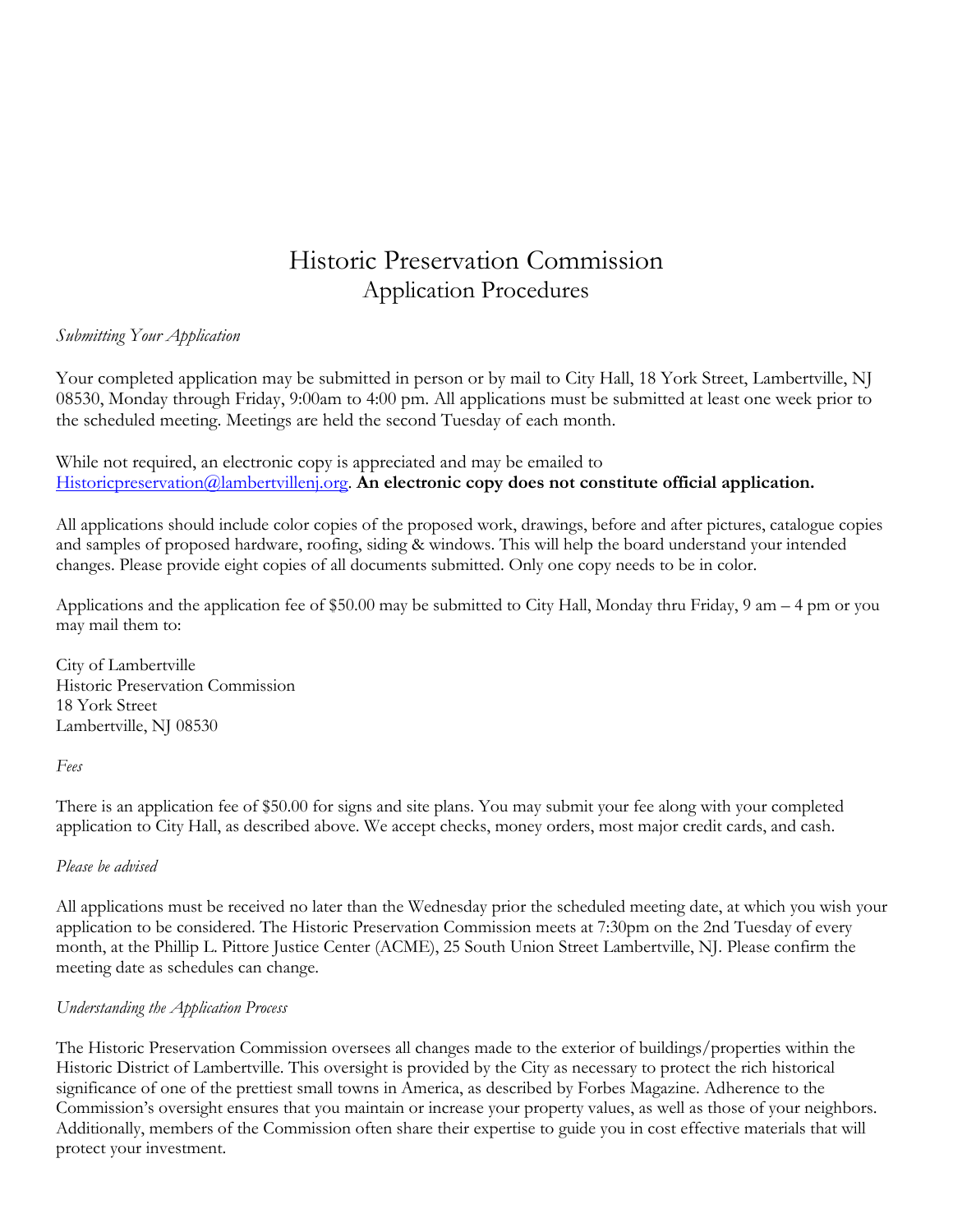# Historic Preservation Commission Application Procedures

## *Submitting Your Application*

Your completed application may be submitted in person or by mail to City Hall, 18 York Street, Lambertville, NJ 08530, Monday through Friday, 9:00am to 4:00 pm. All applications must be submitted at least one week prior to the scheduled meeting. Meetings are held the second Tuesday of each month.

While not required, an electronic copy is appreciated and may be emailed to [Historicpreservation@lambertvillenj.org.](mailto:Historicpreservation@lambertvillenj.org) **An electronic copy does not constitute official application.**

All applications should include color copies of the proposed work, drawings, before and after pictures, catalogue copies and samples of proposed hardware, roofing, siding & windows. This will help the board understand your intended changes. Please provide eight copies of all documents submitted. Only one copy needs to be in color.

Applications and the application fee of \$50.00 may be submitted to City Hall, Monday thru Friday, 9 am – 4 pm or you may mail them to:

City of Lambertville Historic Preservation Commission 18 York Street Lambertville, NJ 08530

*Fees*

There is an application fee of \$50.00 for signs and site plans. You may submit your fee along with your completed application to City Hall, as described above. We accept checks, money orders, most major credit cards, and cash.

#### *Please be advised*

All applications must be received no later than the Wednesday prior the scheduled meeting date, at which you wish your application to be considered. The Historic Preservation Commission meets at 7:30pm on the 2nd Tuesday of every month, at the Phillip L. Pittore Justice Center (ACME), 25 South Union Street Lambertville, NJ. Please confirm the meeting date as schedules can change.

#### *Understanding the Application Process*

The Historic Preservation Commission oversees all changes made to the exterior of buildings/properties within the Historic District of Lambertville. This oversight is provided by the City as necessary to protect the rich historical significance of one of the prettiest small towns in America, as described by Forbes Magazine. Adherence to the Commission's oversight ensures that you maintain or increase your property values, as well as those of your neighbors. Additionally, members of the Commission often share their expertise to guide you in cost effective materials that will protect your investment.